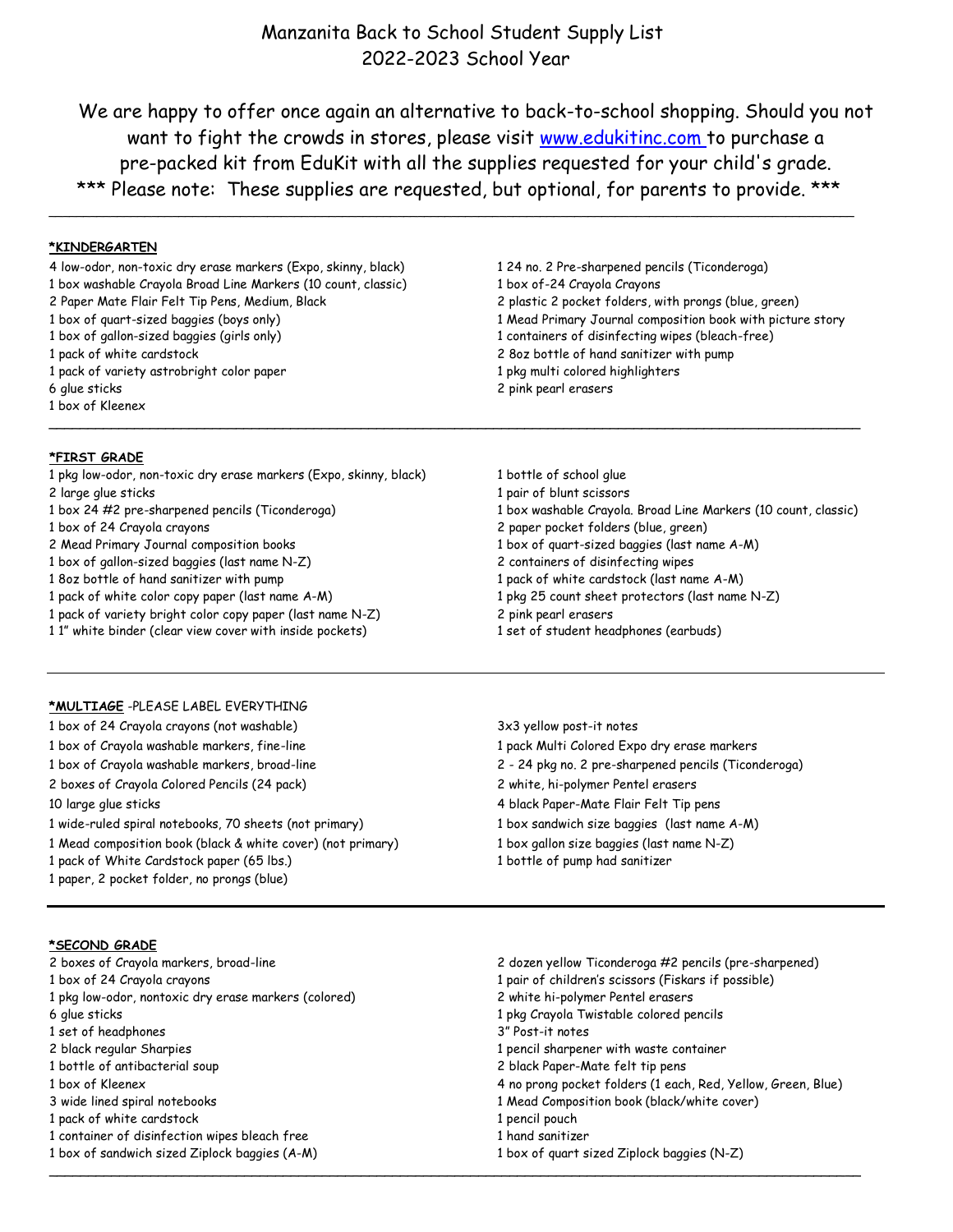# Manzanita Back to School Student Supply List 2022-2023 School Year

We are happy to offer once again an alternative to back-to-school shopping. Should you not want to fight the crowds in stores, please visit [www.edukitinc.com t](http://www.edukitinc.com/)o purchase a pre-packed kit from EduKit with all the supplies requested for your child's grade. \*\*\* Please note: These supplies are requested, but optional, for parents to provide. \*\*\*

\_\_\_\_\_\_\_\_\_\_\_\_\_\_\_\_\_\_\_\_\_\_\_\_\_\_\_\_\_\_\_\_\_\_\_\_\_\_\_\_\_\_\_\_\_\_\_\_\_\_\_\_\_\_\_\_\_\_\_\_\_\_\_\_\_\_\_\_\_\_\_\_\_\_\_\_\_\_\_\_\_\_\_\_\_\_\_\_\_\_\_\_\_\_\_\_\_\_\_\_\_\_\_\_\_\_\_\_\_\_\_\_\_\_\_\_\_\_

\_\_\_\_\_\_\_\_\_\_\_\_\_\_\_\_\_\_\_\_\_\_\_\_\_\_\_\_\_\_\_\_\_\_\_\_\_\_\_\_\_\_\_\_\_\_\_\_\_\_\_\_\_\_\_\_\_\_\_\_\_\_\_\_\_\_\_\_\_\_\_\_\_\_\_\_\_\_\_\_\_\_\_\_\_\_\_\_\_\_\_\_\_\_\_\_\_\_\_\_\_\_\_\_

\_\_\_\_\_\_\_\_\_\_\_\_\_\_\_\_\_\_\_\_\_\_\_\_\_\_\_\_\_\_\_\_\_\_\_\_\_\_\_\_\_\_\_\_\_\_\_\_\_\_\_\_\_\_\_\_\_\_\_\_\_\_\_\_\_\_\_\_\_\_\_\_\_\_\_\_\_\_\_\_\_\_\_\_\_\_\_\_\_\_\_\_\_\_\_\_\_\_\_\_\_\_\_\_

## **\*KINDERGARTEN**

4 low-odor, non-toxic dry erase markers (Expo, skinny, black) 1 24 no. 2 Pre-sharpened pencils (Ticonderoga) 1 box washable Crayola Broad Line Markers (10 count, classic) 1 box of-24 Crayola Crayons

- 
- 
- 
- 1 pack of variety astrobright color paper 1 pack of variety astrobright colored highlighters
- 6 glue sticks 2 pink pearl erasers
- 1 box of Kleenex

### **\*FIRST GRADE**

- 1 pkg low-odor, non-toxic dry erase markers (Expo, skinny, black) 1 bottle of school glue
- 
- 
- 
- 
- 
- 
- 1 pack of white color copy paper (last name A-M) 1 pkg 25 count sheet protectors (last name N-Z)
- 1 pack of variety bright color copy paper (last name N-Z) 2 pink pearl erasers
- 1 1" white binder (clear view cover with inside pockets) 1 set of student headphones (earbuds)

## **\*MULTIAGE** -PLEASE LABEL EVERYTHING

1 box of 24 Crayola crayons (not washable) 3x3 yellow post-it notes 1 box of Crayola washable markers, fine-line 1 pack Multi Colored Expo dry erase markers

- 
- 
- 1 wide-ruled spiral notebooks, 70 sheets (not primary) 1 box sandwich size baggies (last name A-M)
- 1 Mead composition book (black & white cover) (not primary) 1 box gallon size baggies (last name N-Z)
- 1 pack of White Cardstock paper (65 lbs.) 1 bottle of pump had sanitizer
- 1 paper, 2 pocket folder, no prongs (blue)

### **\*SECOND GRADE**

- 
- 
- 1 pkg low-odor, nontoxic dry erase markers (colored) 2 white hi-polymer Pentel erasers
- 
- 1 set of headphones 3" Post-it notes
- 
- 
- 
- 
- 1 pack of white cardstock 1 pencil pouch 2 pencil pouch 1 pencil pouch 2 pencil pouch 1 pencil pouch 1 pencil pouch
- 1 container of disinfection wipes bleach free 1 hand sanitizer
- 
- 2 Paper Mate Flair Felt Tip Pens, Medium, Black 2 2 plastic 2 pocket folders, with prongs (blue, green) 1 box of quart-sized baggies (boys only) 1 Mead Primary Journal composition book with picture story 1 box of gallon-sized baggies (girls only) 1 containers of disinfecting wipes (bleach-free) 1 pack of white cardstock 2 8oz bottle of hand sanitizer with pump
- 2 large glue sticks 1 pair of blunt scissors 1 box 24 #2 pre-sharpened pencils (Ticonderoga) 1 box washable Crayola. Broad Line Markers (10 count, classic) 1 box of 24 Crayola crayons 2 paper pocket folders (blue, green) 2 Mead Primary Journal composition books 1 box of quart-sized baggies (last name A-M) 1 box of gallon-sized baggies (last name N-Z) 2 containers of disinfecting wipes 1 8oz bottle of hand sanitizer with pump 1 pack of white cardstock (last name A-M)
	-
	-
	-

- 
- 1 box of Crayola washable markers, broad-line 2 24 pkg no. 2 pre-sharpened pencils (Ticonderoga)
- 2 boxes of Crayola Colored Pencils (24 pack) 2 white, hi-polymer Pentel erasers
- 10 large glue sticks 4 black Paper-Mate Flair Felt Tip pens
	-
	-
	-

2 boxes of Crayola markers, broad-line 2 dozen yellow Ticonderoga #2 pencils (pre-sharpened) 1 box of 24 Crayola crayons 1 pair of children's scissors (Fiskars if possible) 6 glue sticks 1 pkg Crayola Twistable colored pencils 2 black regular Sharpies 1 pencil sharpener with waste container 1 bottle of antibacterial soup 2 black Paper-Mate felt tip pens 1 box of Kleenex 4 no prong pocket folders (1 each, Red, Yellow, Green, Blue) 3 wide lined spiral notebooks 1 Mead Composition book (black/white cover)

1 box of sandwich sized Ziplock baggies (A-M) 1 box of quart sized Ziplock baggies (N-Z)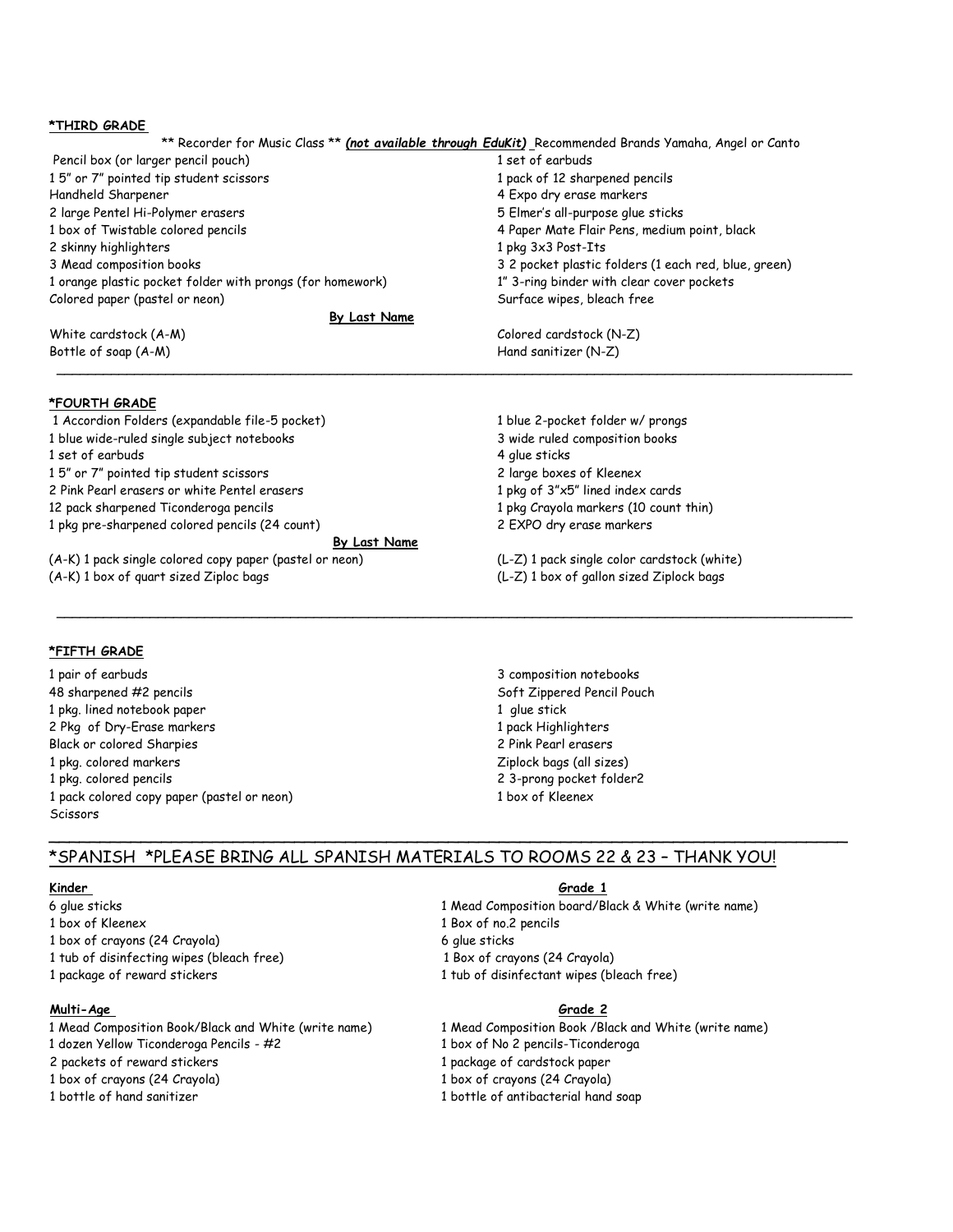### **\*THIRD GRADE**

|                                                           | ** Recorder for Music Class ** (not available through EduKit) Recommended Brands Yamaha, Angel or Canto |
|-----------------------------------------------------------|---------------------------------------------------------------------------------------------------------|
| Pencil box (or larger pencil pouch)                       | 1 set of earbuds                                                                                        |
| 15" or 7" pointed tip student scissors                    | 1 pack of 12 sharpened pencils                                                                          |
| Handheld Sharpener                                        | 4 Expo dry erase markers                                                                                |
| 2 large Pentel Hi-Polymer erasers                         | 5 Elmer's all-purpose glue sticks                                                                       |
| 1 box of Twistable colored pencils                        | 4 Paper Mate Flair Pens, medium point, black                                                            |
| 2 skinny highlighters                                     | 1 pkg 3x3 Post-Its                                                                                      |
| 3 Mead composition books                                  | 3 2 pocket plastic folders (1 each red, blue, green)                                                    |
| 1 orange plastic pocket folder with prongs (for homework) | 1" 3-ring binder with clear cover pockets                                                               |
| Colored paper (pastel or neon)                            | Surface wipes, bleach free                                                                              |
| By Last Name                                              |                                                                                                         |
| White cardstock (A-M)                                     | Colored cardstock (N-Z)                                                                                 |
| Bottle of soap (A-M)                                      | Hand sanitizer (N-Z)                                                                                    |

\_\_\_\_\_\_\_\_\_\_\_\_\_\_\_\_\_\_\_\_\_\_\_\_\_\_\_\_\_\_\_\_\_\_\_\_\_\_\_\_\_\_\_\_\_\_\_\_\_\_\_\_\_\_\_\_\_\_\_\_\_\_\_\_\_\_\_\_\_\_\_\_\_\_\_\_\_\_\_\_\_\_\_\_\_\_\_\_\_\_\_\_\_\_\_\_\_\_\_\_\_\_

\_\_\_\_\_\_\_\_\_\_\_\_\_\_\_\_\_\_\_\_\_\_\_\_\_\_\_\_\_\_\_\_\_\_\_\_\_\_\_\_\_\_\_\_\_\_\_\_\_\_\_\_\_\_\_\_\_\_\_\_\_\_\_\_\_\_\_\_\_\_\_\_\_\_\_\_\_\_\_\_\_\_\_\_\_\_\_\_\_\_\_\_\_\_\_\_\_\_\_\_\_\_

### **\*FOURTH GRADE**

1 Accordion Folders (expandable file-5 pocket) 1 blue 2-pocket folder w/ prongs 1 blue wide-ruled single subject notebooks 3 wide ruled composition books 1 set of earbuds 4 glue sticks 1 5" or 7" pointed tip student scissors 2 large boxes of Kleenex 2 Pink Pearl erasers or white Pentel erasers 1 pkg of 3"x5" lined index cards 12 pack sharpened Ticonderoga pencils 1 pkg Crayola markers (10 count thin) 1 pkg pre-sharpened colored pencils (24 count) 2 EXPO dry erase markers **By Last Name** (A-K) 1 pack single colored copy paper (pastel or neon) (L-Z) 1 pack single color cardstock (white) (A-K) 1 box of quart sized Ziploc bags (L-Z) 1 box of gallon sized Ziplock bags

### **\*FIFTH GRADE**

1 pair of earbuds 3 composition notebooks 48 sharpened #2 pencils Soft Zippered Pencil Pouch 1 pkg. lined notebook paper 1 glue stick 2 Pkg of Dry-Erase markers 1 pack Highlighters 1 pack Highlighters Black or colored Sharpies 2 Pink Pearl erasers 1 pkg. colored markers Ziplock bags (all sizes) 1 pkg. colored pencils 2 3-prong pocket folder2 1 pack colored copy paper (pastel or neon) 1 box of Kleenex **Scissors** 

### \*SPANISH \*PLEASE BRING ALL SPANISH MATERIALS TO ROOMS 22 & 23 – THANK YOU!

\_\_\_\_\_\_\_\_\_\_\_\_\_\_\_\_\_\_\_\_\_\_\_\_\_\_\_\_\_\_\_\_\_\_\_\_\_\_\_\_\_\_\_\_\_\_\_\_\_\_\_\_\_\_\_\_\_\_\_\_\_\_\_\_\_\_\_\_\_\_\_\_\_\_\_\_\_\_

- 
- 
- 1 box of crayons (24 Crayola) 6 glue sticks
- 1 tub of disinfecting wipes (bleach free) 1 Box of crayons (24 Crayola)
- 

## **Multi-Age Grade 2**

- 1 Mead Composition Book/Black and White (write name) 1 Mead Composition Book /Black and White (write name)
- 1 dozen Yellow Ticonderoga Pencils #2 1 box of No 2 pencils-Ticonderoga
- 2 packets of reward stickers 1 package of cardstock paper
- 
- 

### **Kinder Grade 1**

- 6 glue sticks 1 Mead Composition board/Black & White (write name)
- 1 box of Kleenex 1 Box of no.2 pencils
	-
	-
- 1 package of reward stickers 1 tub of disinfectant wipes (bleach free)

- 
- 
- 
- 1 box of crayons (24 Crayola) 1 box of crayons (24 Crayola)
- 1 bottle of hand sanitizer 1 bottle of antibacterial hand soap